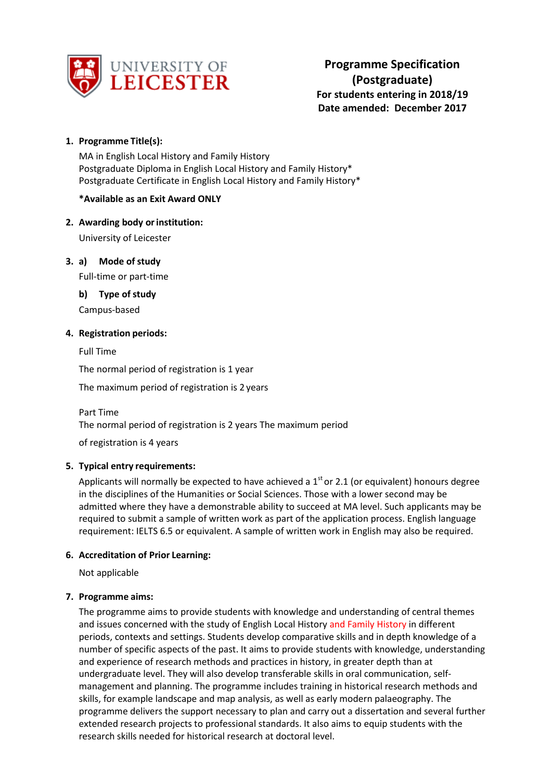

**Programme Specification (Postgraduate) For students entering in 2018/19 Date amended: December 2017**

# **1. Programme Title(s):**

MA in English Local History and Family History Postgraduate Diploma in English Local History and Family History\* Postgraduate Certificate in English Local History and Family History\*

### **\*Available as an Exit Award ONLY**

# **2. Awarding body orinstitution:**

University of Leicester

**3. a) Mode of study**

Full-time or part-time

**b) Type of study** Campus-based

### **4. Registration periods:**

Full Time

The normal period of registration is 1 year

The maximum period of registration is 2 years

Part Time

The normal period of registration is 2 years The maximum period

of registration is 4 years

### **5. Typical entry requirements:**

Applicants will normally be expected to have achieved a  $1<sup>st</sup>$  or 2.1 (or equivalent) honours degree in the disciplines of the Humanities or Social Sciences. Those with a lower second may be admitted where they have a demonstrable ability to succeed at MA level. Such applicants may be required to submit a sample of written work as part of the application process. English language requirement: IELTS 6.5 or equivalent. A sample of written work in English may also be required.

### **6. Accreditation of Prior Learning:**

Not applicable

### **7. Programme aims:**

The programme aims to provide students with knowledge and understanding of central themes and issues concerned with the study of English Local History and Family History in different periods, contexts and settings. Students develop comparative skills and in depth knowledge of a number of specific aspects of the past. It aims to provide students with knowledge, understanding and experience of research methods and practices in history, in greater depth than at undergraduate level. They will also develop transferable skills in oral communication, selfmanagement and planning. The programme includes training in historical research methods and skills, for example landscape and map analysis, as well as early modern palaeography. The programme delivers the support necessary to plan and carry out a dissertation and several further extended research projects to professional standards. It also aims to equip students with the research skills needed for historical research at doctoral level.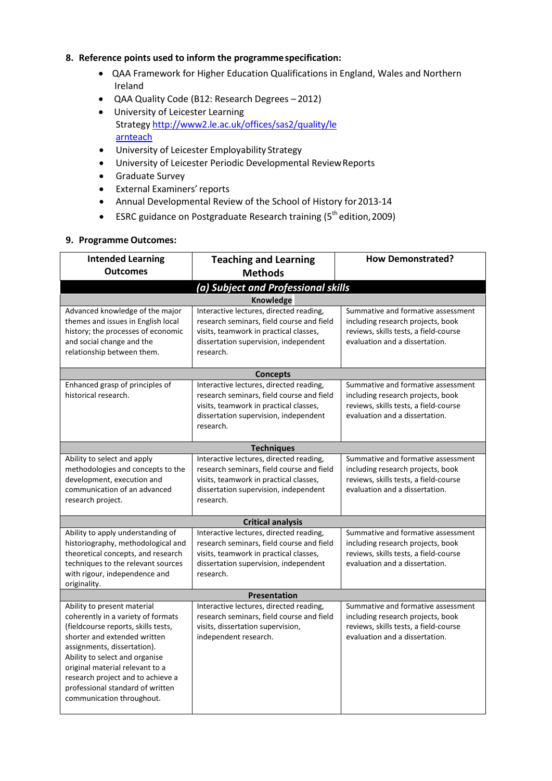### **8. Reference points used to inform the programmespecification:**

- QAA Framework for Higher Education Qualifications in England, Wales and Northern Ireland
- QAA Quality Code (B12: Research Degrees 2012)
- University of Leicester Learning Strateg[y http://www2.le.ac.uk/offices/sas2/quality/le](http://www2.le.ac.uk/offices/sas2/quality/learnteach) [arnteach](http://www2.le.ac.uk/offices/sas2/quality/learnteach)
- University of Leicester Employability Strategy
- University of Leicester Periodic Developmental ReviewReports
- Graduate Survey
- External Examiners'reports
- Annual Developmental Review of the School of History for2013-14
- ESRC guidance on Postgraduate Research training ( $5<sup>th</sup>$  edition, 2009)

#### **9. Programme Outcomes:**

| <b>Intended Learning</b><br><b>Outcomes</b>                                                                                                                                                                                                                                                                                                        | <b>Teaching and Learning</b>                                                                                                                                                         | <b>How Demonstrated?</b>                                                                                                                           |  |  |  |
|----------------------------------------------------------------------------------------------------------------------------------------------------------------------------------------------------------------------------------------------------------------------------------------------------------------------------------------------------|--------------------------------------------------------------------------------------------------------------------------------------------------------------------------------------|----------------------------------------------------------------------------------------------------------------------------------------------------|--|--|--|
|                                                                                                                                                                                                                                                                                                                                                    | <b>Methods</b>                                                                                                                                                                       |                                                                                                                                                    |  |  |  |
|                                                                                                                                                                                                                                                                                                                                                    | (a) Subject and Professional skills                                                                                                                                                  |                                                                                                                                                    |  |  |  |
|                                                                                                                                                                                                                                                                                                                                                    | Knowledge                                                                                                                                                                            |                                                                                                                                                    |  |  |  |
| Advanced knowledge of the major<br>themes and issues in English local<br>history; the processes of economic<br>and social change and the<br>relationship between them.                                                                                                                                                                             | Interactive lectures, directed reading,<br>research seminars, field course and field<br>visits, teamwork in practical classes,<br>dissertation supervision, independent<br>research. | Summative and formative assessment<br>including research projects, book<br>reviews, skills tests, a field-course<br>evaluation and a dissertation. |  |  |  |
|                                                                                                                                                                                                                                                                                                                                                    | <b>Concepts</b>                                                                                                                                                                      |                                                                                                                                                    |  |  |  |
| Enhanced grasp of principles of<br>historical research.                                                                                                                                                                                                                                                                                            | Interactive lectures, directed reading,<br>research seminars, field course and field<br>visits, teamwork in practical classes,<br>dissertation supervision, independent<br>research. | Summative and formative assessment<br>including research projects, book<br>reviews, skills tests, a field-course<br>evaluation and a dissertation. |  |  |  |
|                                                                                                                                                                                                                                                                                                                                                    | <b>Techniques</b>                                                                                                                                                                    |                                                                                                                                                    |  |  |  |
| Ability to select and apply<br>methodologies and concepts to the<br>development, execution and<br>communication of an advanced<br>research project.                                                                                                                                                                                                | Interactive lectures, directed reading,<br>research seminars, field course and field<br>visits, teamwork in practical classes,<br>dissertation supervision, independent<br>research. | Summative and formative assessment<br>including research projects, book<br>reviews, skills tests, a field-course<br>evaluation and a dissertation. |  |  |  |
|                                                                                                                                                                                                                                                                                                                                                    | <b>Critical analysis</b>                                                                                                                                                             |                                                                                                                                                    |  |  |  |
| Ability to apply understanding of<br>historiography, methodological and<br>theoretical concepts, and research<br>techniques to the relevant sources<br>with rigour, independence and<br>originality.                                                                                                                                               | Interactive lectures, directed reading,<br>research seminars, field course and field<br>visits, teamwork in practical classes,<br>dissertation supervision, independent<br>research. | Summative and formative assessment<br>including research projects, book<br>reviews, skills tests, a field-course<br>evaluation and a dissertation. |  |  |  |
| <b>Presentation</b>                                                                                                                                                                                                                                                                                                                                |                                                                                                                                                                                      |                                                                                                                                                    |  |  |  |
| Ability to present material<br>coherently in a variety of formats<br>(fieldcourse reports, skills tests,<br>shorter and extended written<br>assignments, dissertation).<br>Ability to select and organise<br>original material relevant to a<br>research project and to achieve a<br>professional standard of written<br>communication throughout. | Interactive lectures, directed reading,<br>research seminars, field course and field<br>visits, dissertation supervision,<br>independent research.                                   | Summative and formative assessment<br>including research projects, book<br>reviews, skills tests, a field-course<br>evaluation and a dissertation. |  |  |  |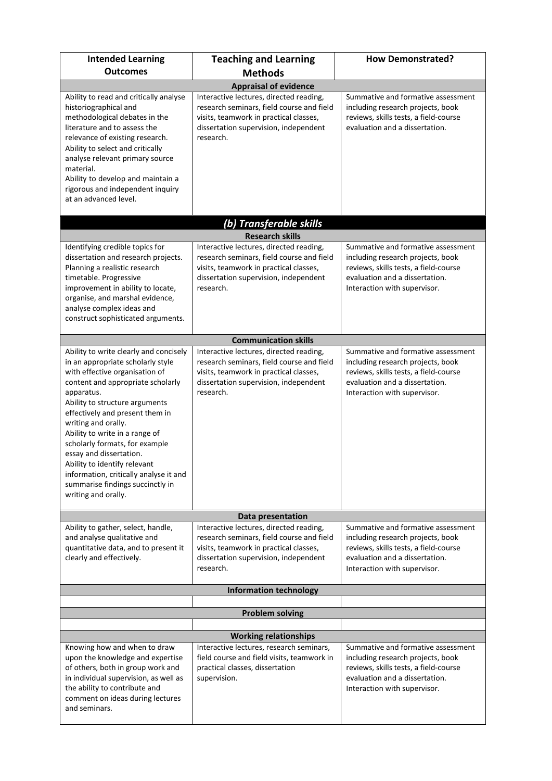| <b>Intended Learning</b>                                                                                                                                                                                                                                                                                                                                                                                                                                                                         | <b>Teaching and Learning</b>                                                                                                                                                         | <b>How Demonstrated?</b>                                                                                                                                                           |  |  |  |  |
|--------------------------------------------------------------------------------------------------------------------------------------------------------------------------------------------------------------------------------------------------------------------------------------------------------------------------------------------------------------------------------------------------------------------------------------------------------------------------------------------------|--------------------------------------------------------------------------------------------------------------------------------------------------------------------------------------|------------------------------------------------------------------------------------------------------------------------------------------------------------------------------------|--|--|--|--|
| <b>Outcomes</b>                                                                                                                                                                                                                                                                                                                                                                                                                                                                                  | <b>Methods</b>                                                                                                                                                                       |                                                                                                                                                                                    |  |  |  |  |
| <b>Appraisal of evidence</b>                                                                                                                                                                                                                                                                                                                                                                                                                                                                     |                                                                                                                                                                                      |                                                                                                                                                                                    |  |  |  |  |
| Ability to read and critically analyse<br>historiographical and<br>methodological debates in the<br>literature and to assess the<br>relevance of existing research.<br>Ability to select and critically<br>analyse relevant primary source<br>material.<br>Ability to develop and maintain a<br>rigorous and independent inquiry<br>at an advanced level.                                                                                                                                        | Interactive lectures, directed reading,<br>research seminars, field course and field<br>visits, teamwork in practical classes,<br>dissertation supervision, independent<br>research. | Summative and formative assessment<br>including research projects, book<br>reviews, skills tests, a field-course<br>evaluation and a dissertation.                                 |  |  |  |  |
|                                                                                                                                                                                                                                                                                                                                                                                                                                                                                                  | (b) Transferable skills                                                                                                                                                              |                                                                                                                                                                                    |  |  |  |  |
|                                                                                                                                                                                                                                                                                                                                                                                                                                                                                                  | <b>Research skills</b>                                                                                                                                                               |                                                                                                                                                                                    |  |  |  |  |
| Identifying credible topics for<br>dissertation and research projects.<br>Planning a realistic research<br>timetable. Progressive<br>improvement in ability to locate,<br>organise, and marshal evidence,<br>analyse complex ideas and<br>construct sophisticated arguments.                                                                                                                                                                                                                     | Interactive lectures, directed reading,<br>research seminars, field course and field<br>visits, teamwork in practical classes,<br>dissertation supervision, independent<br>research. | Summative and formative assessment<br>including research projects, book<br>reviews, skills tests, a field-course<br>evaluation and a dissertation.<br>Interaction with supervisor. |  |  |  |  |
|                                                                                                                                                                                                                                                                                                                                                                                                                                                                                                  | <b>Communication skills</b>                                                                                                                                                          |                                                                                                                                                                                    |  |  |  |  |
| Ability to write clearly and concisely<br>in an appropriate scholarly style<br>with effective organisation of<br>content and appropriate scholarly<br>apparatus.<br>Ability to structure arguments<br>effectively and present them in<br>writing and orally.<br>Ability to write in a range of<br>scholarly formats, for example<br>essay and dissertation.<br>Ability to identify relevant<br>information, critically analyse it and<br>summarise findings succinctly in<br>writing and orally. | Interactive lectures, directed reading,<br>research seminars, field course and field<br>visits, teamwork in practical classes,<br>dissertation supervision, independent<br>research. | Summative and formative assessment<br>including research projects, book<br>reviews, skills tests, a field-course<br>evaluation and a dissertation.<br>Interaction with supervisor. |  |  |  |  |
|                                                                                                                                                                                                                                                                                                                                                                                                                                                                                                  | Data presentation                                                                                                                                                                    |                                                                                                                                                                                    |  |  |  |  |
| Ability to gather, select, handle,<br>and analyse qualitative and<br>quantitative data, and to present it<br>clearly and effectively.                                                                                                                                                                                                                                                                                                                                                            | Interactive lectures, directed reading,<br>research seminars, field course and field<br>visits, teamwork in practical classes,<br>dissertation supervision, independent<br>research. | Summative and formative assessment<br>including research projects, book<br>reviews, skills tests, a field-course<br>evaluation and a dissertation.<br>Interaction with supervisor. |  |  |  |  |
|                                                                                                                                                                                                                                                                                                                                                                                                                                                                                                  | <b>Information technology</b>                                                                                                                                                        |                                                                                                                                                                                    |  |  |  |  |
|                                                                                                                                                                                                                                                                                                                                                                                                                                                                                                  |                                                                                                                                                                                      |                                                                                                                                                                                    |  |  |  |  |
|                                                                                                                                                                                                                                                                                                                                                                                                                                                                                                  | <b>Problem solving</b>                                                                                                                                                               |                                                                                                                                                                                    |  |  |  |  |
| <b>Working relationships</b>                                                                                                                                                                                                                                                                                                                                                                                                                                                                     |                                                                                                                                                                                      |                                                                                                                                                                                    |  |  |  |  |
| Knowing how and when to draw<br>upon the knowledge and expertise<br>of others, both in group work and<br>in individual supervision, as well as<br>the ability to contribute and<br>comment on ideas during lectures<br>and seminars.                                                                                                                                                                                                                                                             | Interactive lectures, research seminars,<br>field course and field visits, teamwork in<br>practical classes, dissertation<br>supervision.                                            | Summative and formative assessment<br>including research projects, book<br>reviews, skills tests, a field-course<br>evaluation and a dissertation.<br>Interaction with supervisor. |  |  |  |  |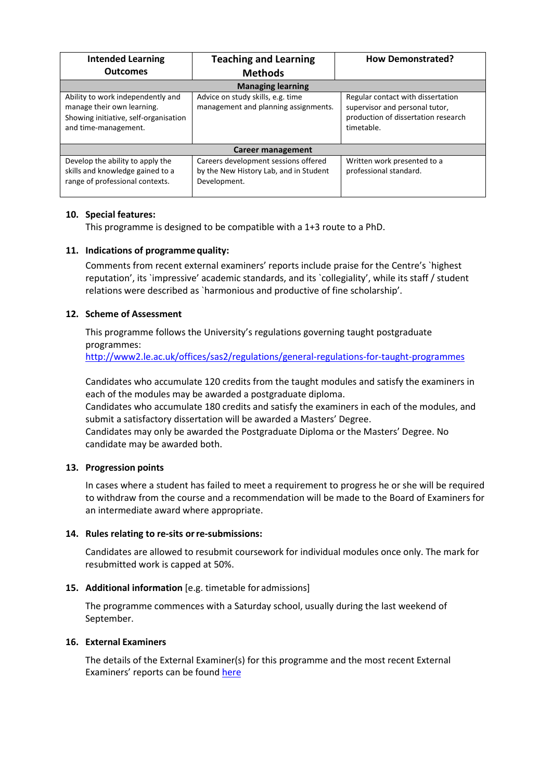| <b>Intended Learning</b>                                                                                                         | <b>Teaching and Learning</b>                                                                   | <b>How Demonstrated?</b>                                                                                                 |  |  |  |
|----------------------------------------------------------------------------------------------------------------------------------|------------------------------------------------------------------------------------------------|--------------------------------------------------------------------------------------------------------------------------|--|--|--|
| <b>Outcomes</b>                                                                                                                  | <b>Methods</b>                                                                                 |                                                                                                                          |  |  |  |
| <b>Managing learning</b>                                                                                                         |                                                                                                |                                                                                                                          |  |  |  |
| Ability to work independently and<br>manage their own learning.<br>Showing initiative, self-organisation<br>and time-management. | Advice on study skills, e.g. time<br>management and planning assignments.                      | Regular contact with dissertation<br>supervisor and personal tutor,<br>production of dissertation research<br>timetable. |  |  |  |
| Career management                                                                                                                |                                                                                                |                                                                                                                          |  |  |  |
| Develop the ability to apply the<br>skills and knowledge gained to a<br>range of professional contexts.                          | Careers development sessions offered<br>by the New History Lab, and in Student<br>Development. | Written work presented to a<br>professional standard.                                                                    |  |  |  |

# **10. Special features:**

This programme is designed to be compatible with a 1+3 route to a PhD.

# **11. Indications of programme quality:**

Comments from recent external examiners' reports include praise for the Centre's `highest reputation', its `impressive' academic standards, and its `collegiality', while its staff / student relations were described as `harmonious and productive of fine scholarship'.

# **12. Scheme of Assessment**

This programme follows the University's regulations governing taught postgraduate programmes:

<http://www2.le.ac.uk/offices/sas2/regulations/general-regulations-for-taught-programmes>

Candidates who accumulate 120 credits from the taught modules and satisfy the examiners in each of the modules may be awarded a postgraduate diploma.

Candidates who accumulate 180 credits and satisfy the examiners in each of the modules, and submit a satisfactory dissertation will be awarded a Masters' Degree.

Candidates may only be awarded the Postgraduate Diploma or the Masters' Degree. No candidate may be awarded both.

### **13. Progression points**

In cases where a student has failed to meet a requirement to progress he or she will be required to withdraw from the course and a recommendation will be made to the Board of Examiners for an intermediate award where appropriate.

### **14. Rules relating to re-sits orre-submissions:**

Candidates are allowed to resubmit coursework for individual modules once only. The mark for resubmitted work is capped at 50%.

### **15. Additional information** [e.g. timetable for admissions]

The programme commences with a Saturday school, usually during the last weekend of September.

### **16. External Examiners**

The details of the External Examiner(s) for this programme and the most recent External Examiners' reports can be foun[d here](https://exampapers.le.ac.uk/xmlui/handle/123456789/10)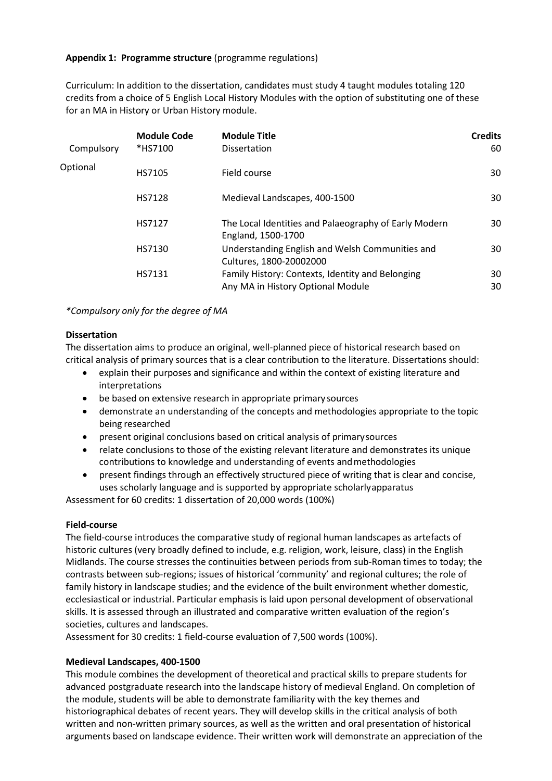### **Appendix 1: Programme structure** (programme regulations)

Curriculum: In addition to the dissertation, candidates must study 4 taught modules totaling 120 credits from a choice of 5 English Local History Modules with the option of substituting one of these for an MA in History or Urban History module.

| Compulsory | <b>Module Code</b><br>*HS7100 | <b>Module Title</b><br><b>Dissertation</b>                                            | <b>Credits</b><br>60 |
|------------|-------------------------------|---------------------------------------------------------------------------------------|----------------------|
| Optional   | HS7105                        | Field course                                                                          | 30                   |
|            | HS7128                        | Medieval Landscapes, 400-1500                                                         | 30                   |
|            | HS7127                        | The Local Identities and Palaeography of Early Modern<br>England, 1500-1700           | 30                   |
|            | HS7130                        | Understanding English and Welsh Communities and<br>Cultures, 1800-20002000            | 30                   |
|            | HS7131                        | Family History: Contexts, Identity and Belonging<br>Any MA in History Optional Module | 30<br>30             |

*\*Compulsory only for the degree of MA*

### **Dissertation**

The dissertation aims to produce an original, well-planned piece of historical research based on critical analysis of primary sources that is a clear contribution to the literature. Dissertations should:

- explain their purposes and significance and within the context of existing literature and interpretations
- be based on extensive research in appropriate primary sources
- demonstrate an understanding of the concepts and methodologies appropriate to the topic being researched
- present original conclusions based on critical analysis of primarysources
- relate conclusions to those of the existing relevant literature and demonstrates its unique contributions to knowledge and understanding of events andmethodologies
- present findings through an effectively structured piece of writing that is clear and concise, uses scholarly language and is supported by appropriate scholarlyapparatus

Assessment for 60 credits: 1 dissertation of 20,000 words (100%)

### **Field-course**

The field-course introduces the comparative study of regional human landscapes as artefacts of historic cultures (very broadly defined to include, e.g. religion, work, leisure, class) in the English Midlands. The course stresses the continuities between periods from sub-Roman times to today; the contrasts between sub-regions; issues of historical 'community' and regional cultures; the role of family history in landscape studies; and the evidence of the built environment whether domestic, ecclesiastical or industrial. Particular emphasis is laid upon personal development of observational skills. It is assessed through an illustrated and comparative written evaluation of the region's societies, cultures and landscapes.

Assessment for 30 credits: 1 field-course evaluation of 7,500 words (100%).

### **Medieval Landscapes, 400-1500**

This module combines the development of theoretical and practical skills to prepare students for advanced postgraduate research into the landscape history of medieval England. On completion of the module, students will be able to demonstrate familiarity with the key themes and historiographical debates of recent years. They will develop skills in the critical analysis of both written and non-written primary sources, as well as the written and oral presentation of historical arguments based on landscape evidence. Their written work will demonstrate an appreciation of the